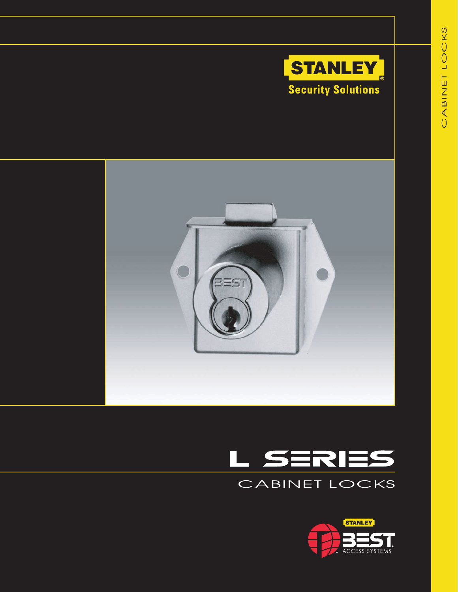





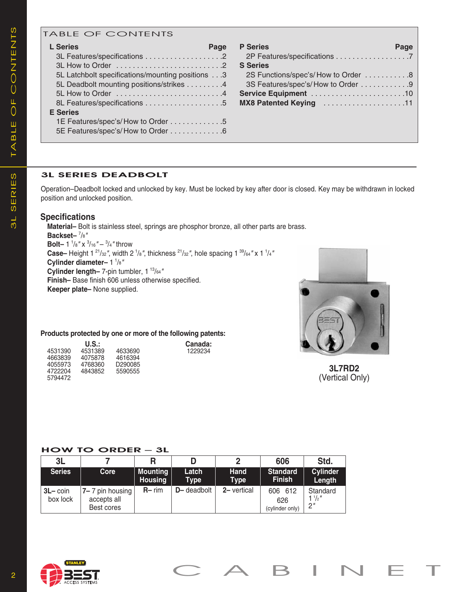## TABLE OF CONTENTS

| <b>L</b> Series<br>Page                          |
|--------------------------------------------------|
|                                                  |
|                                                  |
| 5L Latchbolt specifications/mounting positions 3 |
| 5L Deadbolt mounting positions/strikes 4         |
|                                                  |
|                                                  |
| <b>E</b> Series                                  |
| 1E Features/spec's/How to Order 5                |
| 5E Features/spec's/How to Order 6                |
|                                                  |

| <b>P</b> Series                    | Page |
|------------------------------------|------|
| <b>S</b> Series                    |      |
| 2S Functions/spec's/How to Order 8 |      |
| 3S Features/spec's/How to Order 9  |      |
|                                    |      |
| MX8 Patented Keying 11             |      |
|                                    |      |
|                                    |      |
|                                    |      |

### **3L SerieS DeaDboLt**

Operation–Deadbolt locked and unlocked by key. Must be locked by key after door is closed. Key may be withdrawn in locked position and unlocked position.

### **Specifications**

 **Material–** Bolt is stainless steel, springs are phosphor bronze, all other parts are brass.  **Backset–** <sup>7</sup> /8*"* **Bolt**- 1<sup>1</sup>/<sub>8</sub>" **x** <sup>3</sup>/<sub>16</sub>" - <sup>3</sup>/<sub>4</sub>" throw Case– Height 1<sup>21</sup>/<sub>32</sub>", width 2<sup>1</sup>/<sub>8</sub>", thickness <sup>21</sup>/<sub>32</sub>", hole spacing 1<sup>39</sup>/<sub>64</sub>" x 1<sup>1</sup>/<sub>4</sub> **Cylinder diameter–** 1 <sup>1</sup> /8*"* **Cylinder length–** 7-pin tumbler, 1 13/64*"*  **Finish–** Base finish 606 unless otherwise specified. **Keeper plate–** None supplied.



# **3L7RD2** (Vertical Only)

### **Products protected by one or more of the following patents:**

|         | U.S.:   |         |
|---------|---------|---------|
| 4531390 | 4531389 | 4633690 |
| 4663839 | 4075878 | 4616394 |
| 4055973 | 4768360 | D290085 |
| 4722204 | 4843852 | 5590555 |
| 5794472 |         |         |

#### **How to orDer – 3L**

| 3L                             |                                              |                            |                      | פ                          | 606                               | Std.                             |
|--------------------------------|----------------------------------------------|----------------------------|----------------------|----------------------------|-----------------------------------|----------------------------------|
| <b>Series</b>                  | <b>Core</b>                                  | Mounting<br><b>Housing</b> | Latch<br><b>Type</b> | <b>Hand</b><br><b>Type</b> | <b>Standard</b><br><b>Finish</b>  | <b>Cylinder</b><br>Length        |
| $3L - \text{coin}$<br>box lock | 7–7 pin housing<br>accepts all<br>Best cores | $R - rim$                  | <b>D</b> -deadbolt   | 2- vertical                | 606 612<br>626<br>(cylinder only) | Standard<br>$1\frac{1}{2}$<br>2" |

Canada: 4531390 4531389 4633690 1229234

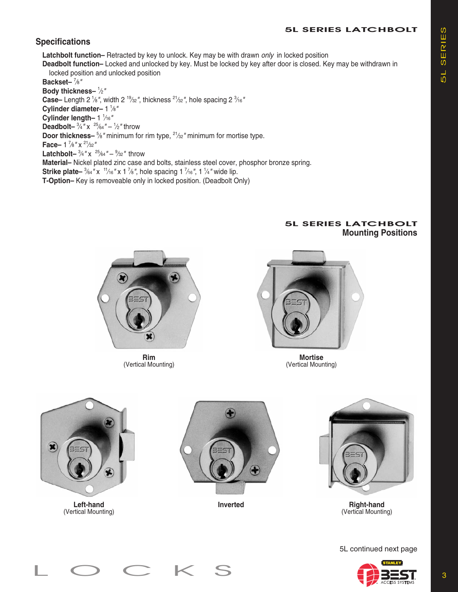# **5L SerieS LatcHboLt**

# **Specifications**

 **Latchbolt function–** Retracted by key to unlock. Key may be with drawn *only* in locked position

**Deadbolt function–** Locked and unlocked by key. Must be locked by key after door is closed. Key may be withdrawn in locked position and unlocked position

 **Backset–** <sup>7</sup> ⁄8*"*  **Body thickness–** <sup>1</sup> ⁄2*"* Case– Length 2 <sup>1</sup>/<sub>8</sub>", width 2 <sup>19</sup>/<sub>32</sub>", thickness <sup>21</sup>/<sub>32</sub>", hole spacing 2 <sup>3</sup>/<sub>16</sub><sup>*n*</sup>  **Cylinder diameter–** 1 <sup>1</sup> ⁄8*"*  **Cylinder length–** 1 1 ⁄16*"* **Deadbolt–**  $\frac{3}{4}$ " x  $\frac{25}{64}$ " –  $\frac{1}{2}$ " throw **Door thickness–** <sup>5</sup>%" minimum for rim type, <sup>21</sup>/32" minimum for mortise type. **Face**-1<sup>7</sup>/<sub>8</sub>"  $\times$ <sup>21</sup>/<sub>32</sub>' **Latchbolt–**  $\frac{3}{4}$ " x  $\frac{25}{64}$ " –  $\frac{9}{32}$ " throw  **Material–** Nickel plated zinc case and bolts, stainless steel cover, phosphor bronze spring. **Strike plate–**  ${}^{3}$ <sup>64</sup> " x  ${}^{11}$ /<sub>16</sub> " x 1<sup>7</sup>/<sub>8</sub>", hole spacing 1<sup>7</sup>/<sub>16</sub>", 1<sup>1</sup>/<sub>4</sub>" wide lip.  **T-Option–** Key is removeable only in locked position. (Deadbolt Only)



**Rim** (Vertical Mounting)



**Mortise** (Vertical Mounting)



## **5L SerieS LatcHboLt Mounting Positions**

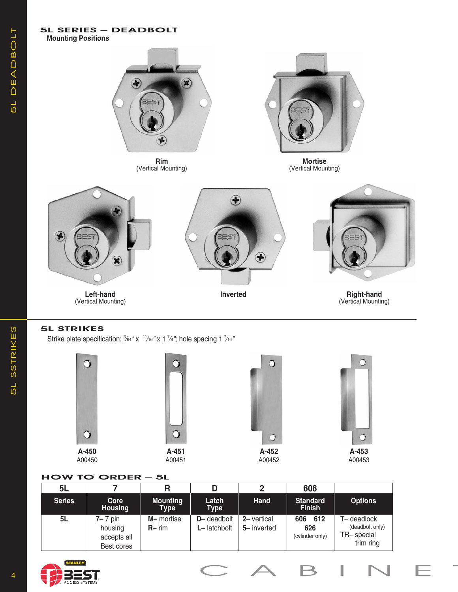

## **5L StriKeS**

Strike plate specification:  $\frac{3}{64}$  " x  $\frac{11}{16}$  " x 1  $\frac{7}{6}$ "; hole spacing 1  $\frac{7}{16}$ "









## **How to orDer – 5L**

| <b>5L</b>     |                                                         |                                |                                    |                           | 606                                  |                                                          |
|---------------|---------------------------------------------------------|--------------------------------|------------------------------------|---------------------------|--------------------------------------|----------------------------------------------------------|
| <b>Series</b> | Core<br><b>Housing</b>                                  | <b>Mounting</b><br><b>Type</b> | Latch<br><b>Type</b>               | Hand                      | <b>Standard</b><br><b>Finish</b>     | <b>Options</b>                                           |
| 5L            | <b>7–</b> 7 pin<br>housing<br>accepts all<br>Best cores | M-mortise<br>$R - rim$         | <b>D</b> -deadbolt<br>L- latchbolt | 2- vertical<br>5-inverted | 612<br>606<br>626<br>(cylinder only) | T-deadlock<br>(deadbolt only)<br>TR-special<br>trim ring |









5L SSTrIKES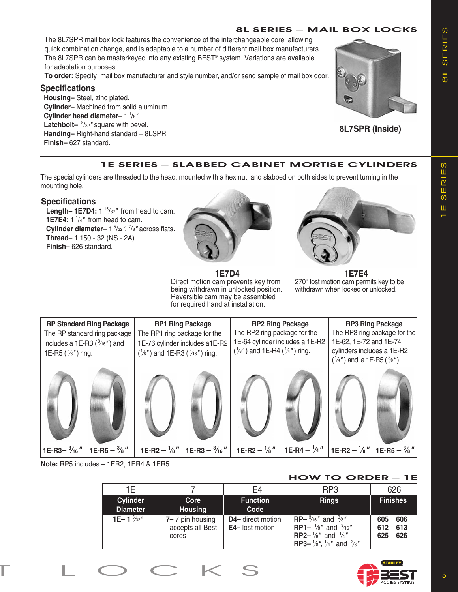## **8L SerieS – MaiL box LocKS**

The 8L7SPR mail box lock features the convenience of the interchangeable core, allowing quick combination change, and is adaptable to a number of different mail box manufacturers. The 8L7SPR can be masterkeyed into any existing BEST® system. Variations are available for adaptation purposes.

**To order:** Specify mail box manufacturer and style number, and/or send sample of mail box door.

### **Specifications**

**Housing–** Steel, zinc plated. **Cylinder–** Machined from solid aluminum. **Cylinder head diameter–** 1 <sup>1</sup> /8*"*. Latchbolt-  $\frac{9}{32}$ " square with bevel. **Handing–** Right-hand standard – 8LSPR. **Finish–** 627 standard.



**8L7SPR (Inside)**

## **1e SerieS – SLabbeD cabinet MortiSe cyLinDerS**

The special cylinders are threaded to the head, mounted with a hex nut, and slabbed on both sides to prevent turning in the mounting hole.

### **Specifications**

**Length– 1E7D4:** 1<sup>15</sup>/32" from head to cam. **1E7E4:**  $1 \frac{1}{4}$  from head to cam. **Cylinder diameter–** 1<sup>5</sup>/<sub>32</sub>", <sup>7</sup>/<sub>8</sub>" across flats.  **Thread–** 1.150 - 32 (NS - 2A).  **Finish–** 626 standard.



**1E7D4**

Direct motion cam prevents key from being withdrawn in unlocked position. Reversible cam may be assembled for required hand at installation.



**1E7E4** 270° lost motion cam permits key to be withdrawn when locked or unlocked.



**Note:** RP5 includes – 1ER2, 1ER4 & 1ER5

### **How to orDer – 1e**

| 1F                          |                                              | F4                                          | RP <sub>3</sub>                                                                                                                                                                                                        | 626                                    |
|-----------------------------|----------------------------------------------|---------------------------------------------|------------------------------------------------------------------------------------------------------------------------------------------------------------------------------------------------------------------------|----------------------------------------|
| Cylinder<br><b>Diameter</b> | Core<br><b>Housing</b>                       | <b>Function</b><br>Code                     | <b>Rings</b>                                                                                                                                                                                                           | <b>Finishes</b>                        |
| 1E-1 $\frac{5}{32}$ "       | 7-7 pin housing<br>accepts all Best<br>cores | D4- direct motion<br><b>E4-</b> lost motion | <b>RP</b> - $\frac{3}{16}$ " and $\frac{3}{8}$ "<br><b>RP1-</b> $\frac{1}{8}$ " and $\frac{3}{16}$ "<br><b>RP2-</b> $\frac{1}{8}$ " and $\frac{1}{4}$ "<br><b>RP3-</b> $\frac{1}{8}$ , $\frac{1}{4}$ and $\frac{3}{8}$ | 606<br>605<br>613<br>612<br>625<br>626 |

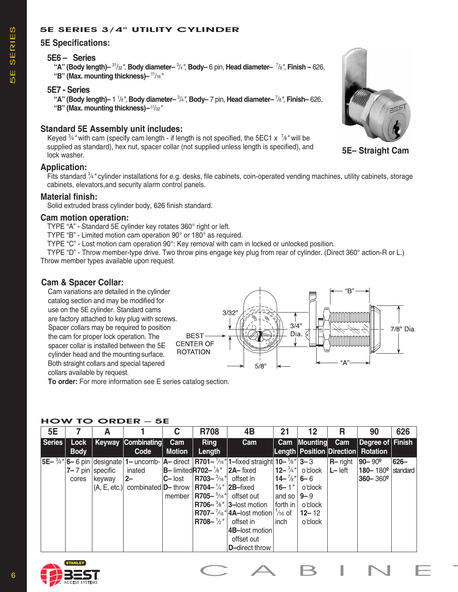## **5e SerieS 3/4" UtiLity cyLinDer**

### **5E Specifications:**

### **5E6 – Series**

5E SErIES

-<br>5日

SERIES

**"A" (Body length)–** 31/32*"*, **Body diameter–** <sup>3</sup> /4*"*, **Body–** 6 pin, **Head diameter–** <sup>7</sup> /8*"*, **Finish –** 626, **"B" (Max. mounting thickness)–** 11/16*"*

#### **5E7 - Series**

**"A" (Body length)–** 1 1 /8*"*, **Body diameter–** <sup>3</sup> /4*"*, **Body–** 7 pin, **Head diameter–** <sup>7</sup> /8*"*, **Finish–** 626,

**"B" (Max. mounting thickness)–**27/32*"*

## **Standard 5E Assembly unit includes:**

Keyed <sup>3</sup>/<sub>4</sub>" with cam (specify cam length - if length is not specified, the 5EC1 x <sup>7</sup>/<sub>8</sub>" will be supplied as standard), hex nut, spacer collar (not supplied unless length is specified), and lock washer.

### **Application:**

Fits standard <sup>3</sup>/4<sup>*"*</sup> cylinder installations for e.g. desks, file cabinets, coin-operated vending machines, utility cabinets, storage cabinets, elevators,and security alarm control panels.

### **Material finish:**

Solid extruded brass cylinder body, 626 finish standard.

### **Cam motion operation:**

TYPE "A" - Standard 5E cylinder key rotates 360° right or left.

TYPE "B" - Limited motion cam operation 90° or 180° as required.

TYPE "C" - Lost motion cam operation 90°: Key removal with cam in locked or unlocked position.

 TYPE "D" - Throw member-type drive. Two throw pins engage key plug from rear of cylinder. (Direct 360° action-R or L.) Throw member types available upon request.

### **Cam & Spacer Collar:**

Cam variations are detailed in the cylinder catalog section and may be modified for use on the 5E cylinder. Standard cams  $3/32'$ are factory attached to key plug with screws.  $3/4"$ Spacer collars may be required to position 7/8" Dia. Dia.  $\leq$ the cam for proper lock operation. The **BEST CENTER OF** spacer collar is installed between the 5E **ROTATION** cylinder head and the mounting surface. Both straight collars and special tapered  $5/8$ collars available by request.

**To order:** For more information see E series catalog section.

### **How to orDer – 5e**

| <b>Series</b><br>Keyway Combinating<br>Cam Mounting<br>Cam<br>$\vert$ Degree of $\vert$ Finish<br>Lock<br>Cam<br>Cam<br><b>Ring</b><br><b>Length Position Direction Rotation</b><br>Length<br><b>Body</b><br>Code<br><b>Motion</b><br>$ 5E-{}^{3}4'' 6-6$ pin $ {\rm designate} 1-$ uncomb- $ A-$ direct $ R701-{}^{1}46'' 1-$ fixed straight $ 10-{}^{5}6'' 3-3$<br>$R$ -right<br>$ 90 - 90^{\circ} $<br>626-<br>$ 12 - \frac{3}{4}  $ o'clock<br>$\vert$ B-limitedR702- <sup>1</sup> / <sub>8</sub> " $\vert$ 2A-fixed<br>$ L - \text{left} $<br>$ 7 - 7 $ pin specific<br>180-180 $°$ standard<br>inated<br>$ 14 - \frac{7}{8} $ 6 – 6<br>$ $ R703- $\frac{3}{16}$ " offset in<br>$ 2-$<br>$360 - 360^{\circ}$<br>$ C - \text{lost} $<br>keyway<br>cores<br>$ $ R704– $\frac{1}{4}$ " 2B–fixed<br>$ 16 - 1" $<br>$(A, E, etc.)$ combinated $D$ – throw<br>o'clock<br>$ $ R705- $\frac{5}{16}$ " offset out<br>and so $ 9-9 $<br>member |
|-------------------------------------------------------------------------------------------------------------------------------------------------------------------------------------------------------------------------------------------------------------------------------------------------------------------------------------------------------------------------------------------------------------------------------------------------------------------------------------------------------------------------------------------------------------------------------------------------------------------------------------------------------------------------------------------------------------------------------------------------------------------------------------------------------------------------------------------------------------------------------------------------------------------------------------------|
|                                                                                                                                                                                                                                                                                                                                                                                                                                                                                                                                                                                                                                                                                                                                                                                                                                                                                                                                           |
| <b>R706-</b> $\frac{3}{8}$ " <b>3</b> -lost motion<br>$ $ forth in $ $ o'clock<br><b>R707-</b> $\frac{7}{16}$ " 4A-lost motion  $\frac{1}{16}$ of<br>$12 - 12$<br>$\sqrt{3708} - \frac{1}{2}$ "<br>offset in<br>o'clock<br>inch<br>4B-lost motion<br>offset out<br>D-direct throw                                                                                                                                                                                                                                                                                                                                                                                                                                                                                                                                                                                                                                                         |





**5E– Straight Cam**

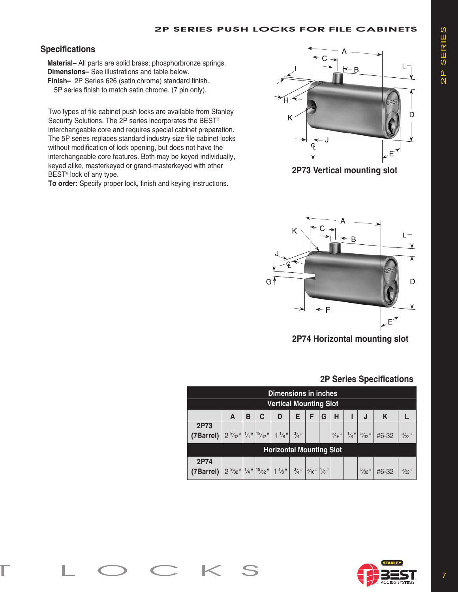## **Specifications**

 **Material–** All parts are solid brass; phosphorbronze springs.  **Dimensions–** See illustrations and table below.  **Finish–** 2P Series 626 (satin chrome) standard finish. 5P series finish to match satin chrome. (7 pin only).

 Two types of file cabinet push locks are available from Stanley Security Solutions. The 2P series incorporates the BEST® interchangeable core and requires special cabinet preparation. The 5P series replaces standard industry size file cabinet locks without modification of lock opening, but does not have the interchangeable core features. Both may be keyed individually, keyed alike, masterkeyed or grand-masterkeyed with other BEST® lock of any type.

 **To order:** Specify proper lock, finish and keying instructions.



**2P73 Vertical mounting slot**



**2P74 Horizontal mounting slot**

# **2P Series Specifications**

| <b>Dimensions in inches</b>                                                                                                                                        |                               |   |   |   |   |   |   |   |   |                                                                                                                         |  |
|--------------------------------------------------------------------------------------------------------------------------------------------------------------------|-------------------------------|---|---|---|---|---|---|---|---|-------------------------------------------------------------------------------------------------------------------------|--|
|                                                                                                                                                                    | <b>Vertical Mounting Slot</b> |   |   |   |   |   |   |   |   |                                                                                                                         |  |
|                                                                                                                                                                    | A                             | в | C | D | Е | F | G | н | J | K                                                                                                                       |  |
| 2P73                                                                                                                                                               |                               |   |   |   |   |   |   |   |   |                                                                                                                         |  |
| (7Barrel) $2^{9/32''} _{1/4''} _{19/32''} 1^{1/8''} _{3/4''} $                                                                                                     |                               |   |   |   |   |   |   |   |   | $\left  \frac{5}{16}$ " $\right $ $\frac{1}{8}$ " $\left  \frac{5}{32}$ " $\right $ #6-32 $\left  \frac{5}{32} \right $ |  |
| <b>Horizontal Mounting Slot</b>                                                                                                                                    |                               |   |   |   |   |   |   |   |   |                                                                                                                         |  |
| 2P74<br><b>(7Barrel)</b> $\left  2 \frac{9}{32} u \right ^{1/4} u \left ^{19/32} u \right  1^{1/8} u \left  \frac{3}{4} u \right ^{5/16} u \left ^{1/8} u \right $ |                               |   |   |   |   |   |   |   |   | $\frac{5}{32}$ " #6-32 $\frac{5}{32}$ "                                                                                 |  |

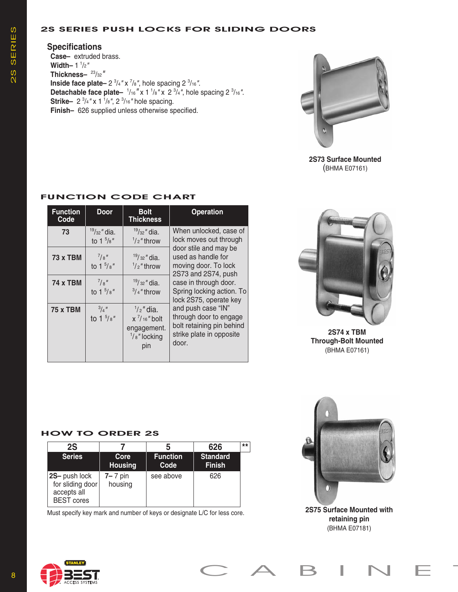### **2S SerieS PUSH LocKS for SLiDinG DoorS**

# **Specifications**

**Case–** extruded brass. **Width–** 1 <sup>1</sup> /2*"* **Thickness–** 23/32*"* **Inside face plate–** 2  $\frac{3}{4}$ " x  $\frac{7}{8}$ ", hole spacing 2  $\frac{3}{16}$ ". **Detachable face plate-**  $\frac{1}{16}$  " x 1  $\frac{1}{8}$ " x 2  $\frac{3}{4}$ ", hole spacing 2  $\frac{3}{16}$ ". **Strike** – 2<sup>3</sup>/<sub>4</sub>" x 1<sup>1</sup>/<sub>8</sub>", 2<sup>3</sup>/<sub>16</sub>" hole spacing. **Finish–** 626 supplied unless otherwise specified.



**2S73 Surface Mounted** (BHMA E07161)

| <b>Function</b><br>Code | <b>Door</b>                                | <b>Bolt</b><br><b>Thickness</b>                                                          | <b>Operation</b>                                                                                               |
|-------------------------|--------------------------------------------|------------------------------------------------------------------------------------------|----------------------------------------------------------------------------------------------------------------|
| 73                      | $19/32$ " dia.<br>to 1 $\frac{5}{8}$ "     | $19/32$ " dia.<br>$\frac{1}{2}$ " throw                                                  | When unlocked, case of<br>lock moves out through                                                               |
| 73 x TBM                | $^{7}/\mathrm{s}$ "<br>to $1\frac{5}{8}$ " | $19/32$ " dia.<br>$\frac{1}{2}$ " throw                                                  | door stile and may be<br>used as handle for<br>moving door. To lock<br>2S73 and 2S74, push                     |
| <b>74 x TBM</b>         | $^{7}/\mathrm{g}''$<br>to $1\frac{5}{8}$ " | $19/32$ " dia.<br>$3/4$ " throw                                                          | case in through door.<br>Spring locking action. To<br>lock 2S75, operate key                                   |
| <b>75 x TBM</b>         | $^{3}/_{4}$ "<br>to $1\frac{5}{8}$ "       | $\frac{1}{2}$ " dia.<br>$x^7/16''$ bolt<br>engagement.<br>$\frac{1}{8}$ " locking<br>pin | and push case "IN"<br>through door to engage<br>bolt retaining pin behind<br>strike plate in opposite<br>door. |

## **fUnction coDe cHart**



**2S74 x TBM Through-Bolt Mounted** (BHMA E07161)

## **How to orDer 2S**

| 2S                                                                    |                        |                         | 626                              | $**$ |
|-----------------------------------------------------------------------|------------------------|-------------------------|----------------------------------|------|
| <b>Series</b>                                                         | Core<br><b>Housing</b> | <b>Function</b><br>Code | <b>Standard</b><br><b>Finish</b> |      |
| 2S- push lock<br>for sliding door<br>accepts all<br><b>BEST</b> cores | $7 - 7$ pin<br>housing | see above               | 626                              |      |

Must specify key mark and number of keys or designate L/C for less core.





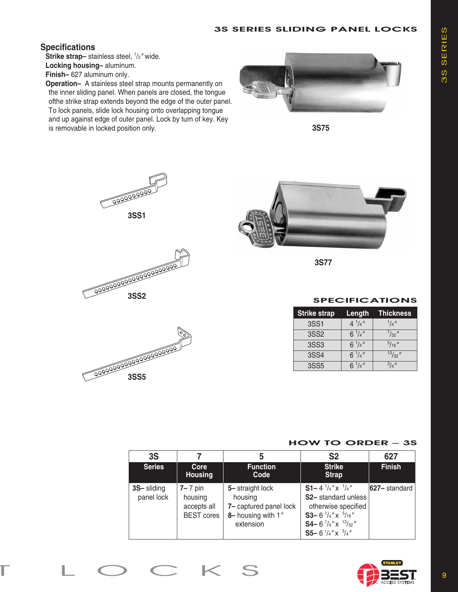## **3S SerieS SLiDinG PaneL LocKS**

## **Specifications**

**Strike strap-** stainless steel,  $1/2$  *wide.*  **Locking housing–** aluminum.

 **Finish–** 627 aluminum only.

 **Operation–** A stainless steel strap mounts permanently on the inner sliding panel. When panels are closed, the tongue ofthe strike strap extends beyond the edge of the outer panel. To lock panels, slide lock housing onto overlapping tongue and up against edge of outer panel. Lock by turn of key. Key is removable in locked position only.



**3S75**









**3S77**

### **SPECIFICATIONS**

| <b>Strike strap</b> | Length          | <b>Thickness</b> |
|---------------------|-----------------|------------------|
| 3SS1                | $4^{1}/4''$     | $1/4$ "          |
| 3SS2                | $6^{1}/4''$     | $^{7}/_{32}$ "   |
| 3SS3                | $6^{1}/4$ "     | $^{5}/_{16}$ "   |
| 3SS4                | $6^{1}/4$ "     | $13/32$ "        |
| 3SS <sub>5</sub>    | 6 $^{1}/_{4}$ " | $^{3}/_{4}$ "    |

### **How to orDer – 3S**

| 3S                       |                                                            | 5                                                                                       | S <sub>2</sub>                                                                                                                                                                                                        | 627               |
|--------------------------|------------------------------------------------------------|-----------------------------------------------------------------------------------------|-----------------------------------------------------------------------------------------------------------------------------------------------------------------------------------------------------------------------|-------------------|
| <b>Series</b>            | Core<br><b>Housing</b>                                     | <b>Function</b><br>Code                                                                 | <b>Strike</b><br><b>Strap</b>                                                                                                                                                                                         | <b>Finish</b>     |
| 3S-sliding<br>panel lock | $7 - 7$ pin<br>housing<br>accepts all<br><b>BEST</b> cores | 5- straight lock<br>housing<br>7- captured panel lock<br>8-housing with 1"<br>extension | <b>S1-</b> 4 $\frac{1}{4}$ " x $\frac{1}{4}$ "<br>S2- standard unless<br>otherwise specified<br>S3-6 $\frac{1}{4}$ " x $\frac{5}{16}$ "<br><b>S4-</b> 6 $\frac{1}{4}$ " x $\frac{13}{32}$ "<br>S5-6 $1/4$ " x $3/4$ " | $ 627 -$ standard |

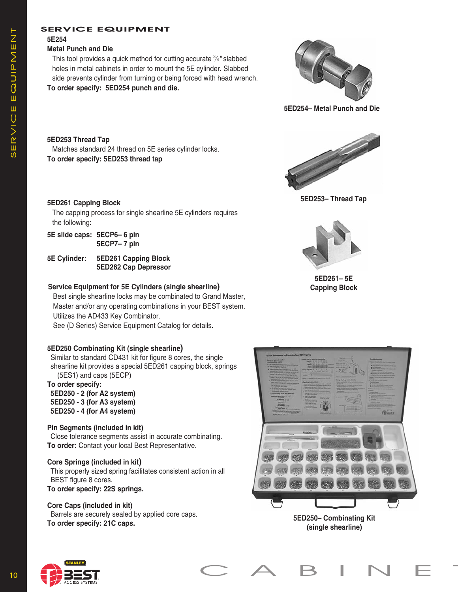### **SerVice eQUiPMent**

## **5E254**

#### **Metal Punch and Die**

This tool provides a quick method for cutting accurate 3 ⁄4*"* slabbed holes in metal cabinets in order to mount the 5E cylinder. Slabbed side prevents cylinder from turning or being forced with head wrench. **To order specify: 5ED254 punch and die.**



**5ED254– Metal Punch and Die**

**5ED253 Thread Tap** Matches standard 24 thread on 5E series cylinder locks. **To order specify: 5ED253 thread tap**

### **5ED261 Capping Block**

 The capping process for single shearline 5E cylinders requires the following:

- **5E slide caps: 5ECP6– 6 pin 5ECP7– 7 pin**
- **5E Cylinder: 5ED261 Capping Block 5ED262 Cap Depressor**

### **Service Equipment for 5E Cylinders (single shearline)**

 Best single shearline locks may be combinated to Grand Master, Master and/or any operating combinations in your BEST system. Utilizes the AD433 Key Combinator.

See (D Series) Service Equipment Catalog for details.

### **5ED250 Combinating Kit (single shearline)**

Similar to standard CD431 kit for figure 8 cores, the single shearline kit provides a special 5ED261 capping block, springs (5ES1) and caps (5ECP)

#### **To order specify:**

**5ED250 - 2 (for A2 system) 5ED250 - 3 (for A3 system) 5ED250 - 4 (for A4 system)**

### **Pin Segments (included in kit)**

Close tolerance segments assist in accurate combinating. **To order:** Contact your local Best Representative.

### **Core Springs (included in kit)**

This properly sized spring facilitates consistent action in all BEST figure 8 cores.

**To order specify: 22S springs.**

### **Core Caps (included in kit)**

Barrels are securely sealed by applied core caps. **To order specify: 21C caps.**



**5ED253– Thread Tap**



**5ED261– 5E Capping Block**



**5ED250– Combinating Kit (single shearline)**

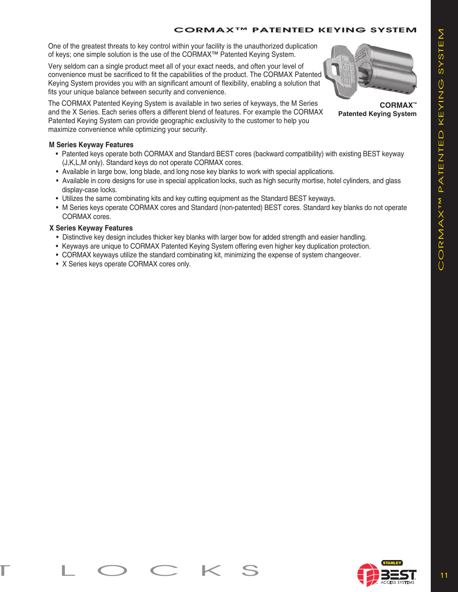## **corMax™ PatenteD KeyinG SySteM**

One of the greatest threats to key control within your facility is the unauthorized duplication of keys; one simple solution is the use of the CORMAX™ Patented Keying System.

Very seldom can a single product meet all of your exact needs, and often your level of convenience must be sacrificed to fit the capabilities of the product. The CORMAX Patented Keying System provides you with an significant amount of flexibility, enabling a solution that fits your unique balance between security and convenience.

The CORMAX Patented Keying System is available in two series of keyways, the M Series and the X Series. Each series offers a different blend of features. For example the CORMAX Patented Keying System can provide geographic exclusivity to the customer to help you maximize convenience while optimizing your security.

#### **M Series Keyway Features**

- Patented keys operate both CORMAX and Standard BEST cores (backward compatibility) with existing BEST keyway (J,K,L,M only). Standard keys do not operate CORMAX cores.
- Available in large bow, long blade, and long nose key blanks to work with special applications.
- Available in core designs for use in special application locks, such as high security mortise, hotel cylinders, and glass display-case locks.
- Utilizes the same combinating kits and key cutting equipment as the Standard BEST keyways.
- M Series keys operate CORMAX cores and Standard (non-patented) BEST cores. Standard key blanks do not operate CORMAX cores.

#### **X Series Keyway Features**

- Distinctive key design includes thicker key blanks with larger bow for added strength and easier handling.
- Keyways are unique to CORMAX Patented Keying System offering even higher key duplication protection.
- CORMAX keyways utilize the standard combinating kit, minimizing the expense of system changeover.
- X Series keys operate CORMAX cores only.

**CORMAX™ Patented Keying System**

COrmAX™ PATENTED KEYING SYSTEm CORMAXTM PATENTED KEYING SYSTEM